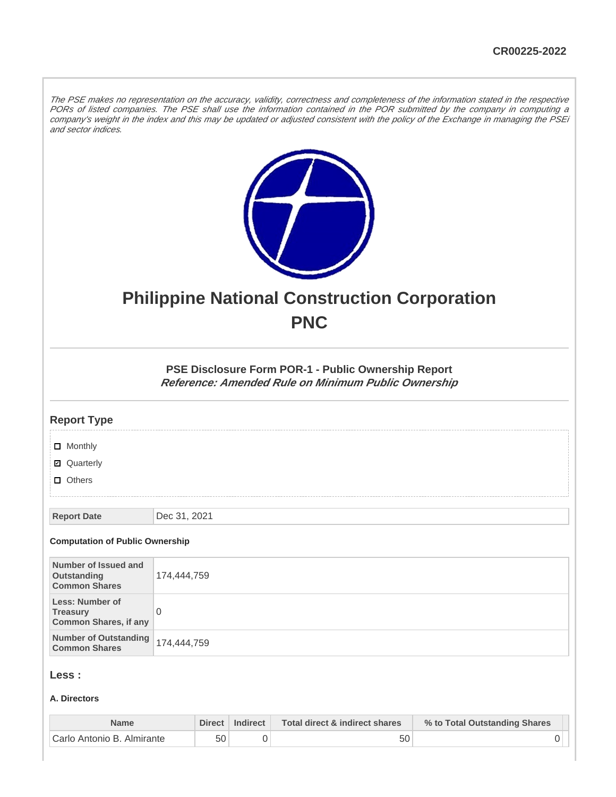The PSE makes no representation on the accuracy, validity, correctness and completeness of the information stated in the respective PORs of listed companies. The PSE shall use the information contained in the POR submitted by the company in computing a company's weight in the index and this may be updated or adjusted consistent with the policy of the Exchange in managing the PSEi and sector indices.



# **Philippine National Construction Corporation PNC**

**PSE Disclosure Form POR-1 - Public Ownership Report Reference: Amended Rule on Minimum Public Ownership**

| <b>Report Type</b>                     |              |
|----------------------------------------|--------------|
| $\Box$ Monthly                         |              |
| ■ Quarterly                            |              |
| $\Box$ Others                          |              |
|                                        |              |
| <b>Report Date</b>                     | Dec 31, 2021 |
| <b>Computation of Public Ownership</b> |              |

| Number of Issued and<br>Outstanding<br><b>Common Shares</b>        | 174,444,759 |
|--------------------------------------------------------------------|-------------|
| Less: Number of<br><b>Treasury</b><br><b>Common Shares, if any</b> |             |
| Number of Outstanding 174,444,759<br><b>Common Shares</b>          |             |

## **Less :**

#### **A. Directors**

| <b>Name</b>                | Direct | Indirect | Total direct & indirect shares | % to Total Outstanding Shares |
|----------------------------|--------|----------|--------------------------------|-------------------------------|
| Carlo Antonio B. Almirante | 50     |          | 50                             |                               |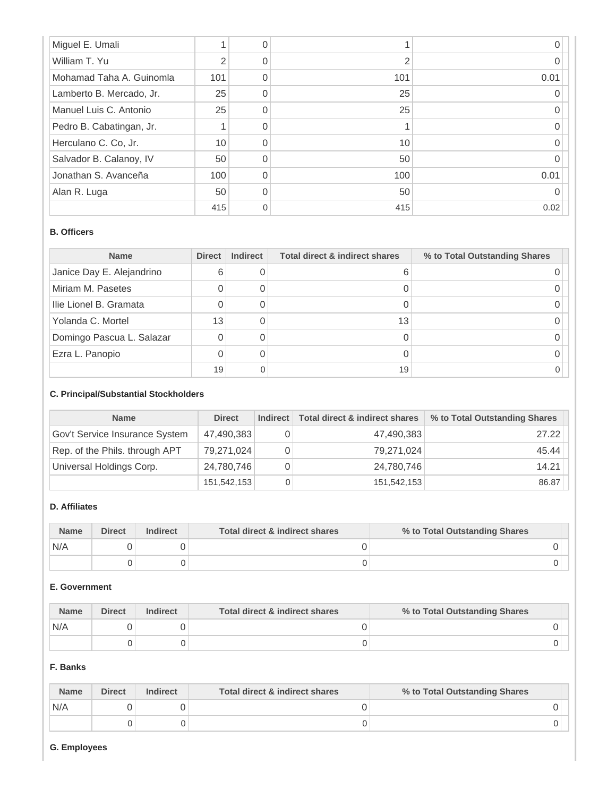| Miguel E. Umali          |     |                |      |
|--------------------------|-----|----------------|------|
| William T. Yu            |     | $\overline{2}$ |      |
| Mohamad Taha A. Guinomla | 101 | 101            | 0.01 |
| Lamberto B. Mercado, Jr. | 25  | 25             |      |
| Manuel Luis C. Antonio   | 25  | 25             |      |
| Pedro B. Cabatingan, Jr. |     |                |      |
| Herculano C. Co, Jr.     | 10  | 10             |      |
| Salvador B. Calanoy, IV  | 50  | 50             |      |
| Jonathan S. Avanceña     | 100 | 100            | 0.01 |
| Alan R. Luga             | 50  | 50             |      |
|                          | 415 | 415            | 0.02 |

#### **B. Officers**

| <b>Name</b>               | <b>Direct</b> | <b>Indirect</b> | <b>Total direct &amp; indirect shares</b> | % to Total Outstanding Shares |
|---------------------------|---------------|-----------------|-------------------------------------------|-------------------------------|
| Janice Day E. Alejandrino | 6             |                 |                                           |                               |
| Miriam M. Pasetes         |               |                 |                                           |                               |
| Ilie Lionel B. Gramata    |               |                 |                                           |                               |
| Yolanda C. Mortel         | 13            |                 | 13                                        |                               |
| Domingo Pascua L. Salazar |               |                 |                                           |                               |
| Ezra L. Panopio           |               | 0               |                                           |                               |
|                           | 19            | 0               | 19                                        |                               |

### **C. Principal/Substantial Stockholders**

| <b>Name</b>                    | <b>Direct</b> | Indirect | Total direct & indirect shares | % to Total Outstanding Shares |
|--------------------------------|---------------|----------|--------------------------------|-------------------------------|
| Gov't Service Insurance System | 47,490,383    | 0        | 47,490,383                     | 27.22                         |
| Rep. of the Phils. through APT | 79,271,024    | 0        | 79,271,024                     | 45.44                         |
| Universal Holdings Corp.       | 24,780,746    | 0        | 24,780,746                     | 14.21                         |
|                                | 151,542,153   | 0        | 151,542,153                    | 86.87                         |

# **D. Affiliates**

| <b>Name</b> | <b>Direct</b> | <b>Indirect</b> | Total direct & indirect shares | % to Total Outstanding Shares |
|-------------|---------------|-----------------|--------------------------------|-------------------------------|
| N/A         |               |                 |                                |                               |
|             |               |                 |                                |                               |

## **E. Government**

| <b>Name</b> | <b>Direct</b> | Indirect | Total direct & indirect shares | % to Total Outstanding Shares |
|-------------|---------------|----------|--------------------------------|-------------------------------|
| N/A         |               |          |                                |                               |
|             |               |          |                                |                               |

## **F. Banks**

| <b>Name</b> | <b>Direct</b> | <b>Indirect</b> | Total direct & indirect shares | % to Total Outstanding Shares |
|-------------|---------------|-----------------|--------------------------------|-------------------------------|
| N/A         |               |                 |                                |                               |
|             |               |                 |                                |                               |

#### **G. Employees**